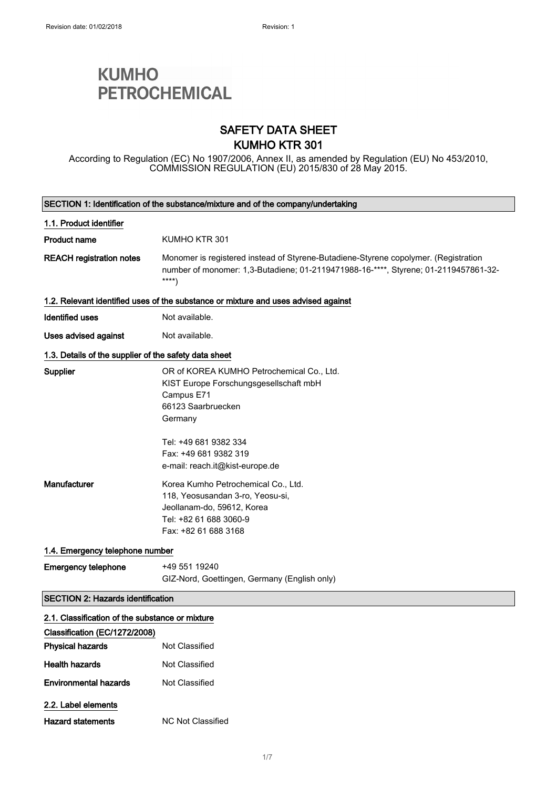# **KUMHO PETROCHEMICAL**

### SAFETY DATA SHEET KUMHO KTR 301

According to Regulation (EC) No 1907/2006, Annex II, as amended by Regulation (EU) No 453/2010, COMMISSION REGULATION (EU) 2015/830 of 28 May 2015.

|                                                       | SECTION 1: Identification of the substance/mixture and of the company/undertaking                                                                                                   |  |
|-------------------------------------------------------|-------------------------------------------------------------------------------------------------------------------------------------------------------------------------------------|--|
| 1.1. Product identifier                               |                                                                                                                                                                                     |  |
| <b>Product name</b>                                   | KUMHO KTR 301                                                                                                                                                                       |  |
| <b>REACH registration notes</b>                       | Monomer is registered instead of Styrene-Butadiene-Styrene copolymer. (Registration<br>number of monomer: 1,3-Butadiene; 01-2119471988-16-****, Styrene; 01-2119457861-32-<br>$***$ |  |
|                                                       | 1.2. Relevant identified uses of the substance or mixture and uses advised against                                                                                                  |  |
| Identified uses                                       | Not available.                                                                                                                                                                      |  |
| Uses advised against                                  | Not available.                                                                                                                                                                      |  |
| 1.3. Details of the supplier of the safety data sheet |                                                                                                                                                                                     |  |
| Supplier                                              | OR of KOREA KUMHO Petrochemical Co., Ltd.<br>KIST Europe Forschungsgesellschaft mbH<br>Campus E71<br>66123 Saarbruecken<br>Germany                                                  |  |
|                                                       | Tel: +49 681 9382 334<br>Fax: +49 681 9382 319<br>e-mail: reach.it@kist-europe.de                                                                                                   |  |
| Manufacturer                                          | Korea Kumho Petrochemical Co., Ltd.<br>118, Yeosusandan 3-ro, Yeosu-si,<br>Jeollanam-do, 59612, Korea<br>Tel: +82 61 688 3060-9<br>Fax: +82 61 688 3168                             |  |
| 1.4. Emergency telephone number                       |                                                                                                                                                                                     |  |
| <b>Emergency telephone</b>                            | +49 551 19240<br>GIZ-Nord, Goettingen, Germany (English only)                                                                                                                       |  |
| <b>SECTION 2: Hazards identification</b>              |                                                                                                                                                                                     |  |
| 2.1. Classification of the substance or mixture       |                                                                                                                                                                                     |  |
| Classification (EC/1272/2008)                         |                                                                                                                                                                                     |  |
| <b>Physical hazards</b>                               | Not Classified                                                                                                                                                                      |  |
| <b>Health hazards</b>                                 | Not Classified                                                                                                                                                                      |  |
| <b>Environmental hazards</b>                          | Not Classified                                                                                                                                                                      |  |
| 2.2. Label elements                                   |                                                                                                                                                                                     |  |
| <b>Hazard statements</b>                              | <b>NC Not Classified</b>                                                                                                                                                            |  |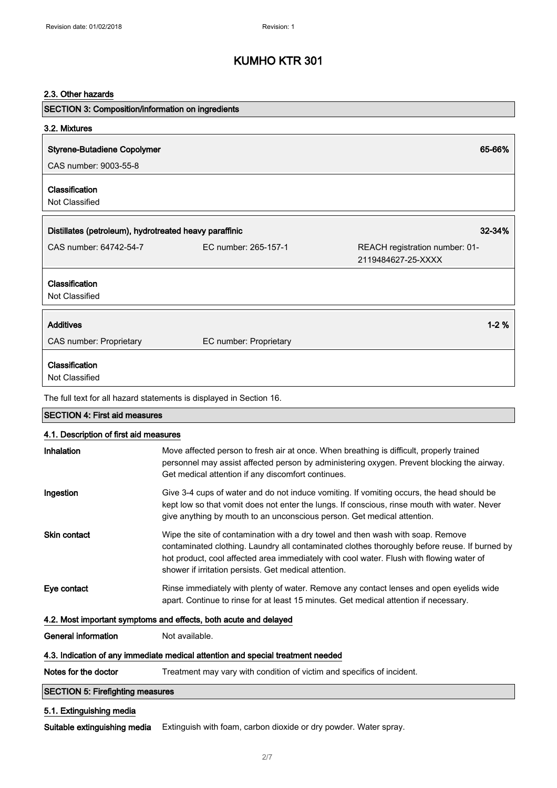### 2.3. Other hazards

| SECTION 3: Composition/information on ingredients      |                                                                                                                                                                                           |                                |
|--------------------------------------------------------|-------------------------------------------------------------------------------------------------------------------------------------------------------------------------------------------|--------------------------------|
| 3.2. Mixtures                                          |                                                                                                                                                                                           |                                |
| <b>Styrene-Butadiene Copolymer</b>                     |                                                                                                                                                                                           | 65-66%                         |
| CAS number: 9003-55-8                                  |                                                                                                                                                                                           |                                |
| Classification                                         |                                                                                                                                                                                           |                                |
| Not Classified                                         |                                                                                                                                                                                           |                                |
| Distillates (petroleum), hydrotreated heavy paraffinic |                                                                                                                                                                                           | 32-34%                         |
| CAS number: 64742-54-7                                 | EC number: 265-157-1                                                                                                                                                                      | REACH registration number: 01- |
|                                                        |                                                                                                                                                                                           | 2119484627-25-XXXX             |
| Classification                                         |                                                                                                                                                                                           |                                |
| Not Classified                                         |                                                                                                                                                                                           |                                |
| <b>Additives</b>                                       |                                                                                                                                                                                           | $1 - 2%$                       |
| CAS number: Proprietary                                | EC number: Proprietary                                                                                                                                                                    |                                |
|                                                        |                                                                                                                                                                                           |                                |
| Classification<br>Not Classified                       |                                                                                                                                                                                           |                                |
|                                                        | The full text for all hazard statements is displayed in Section 16.                                                                                                                       |                                |
| <b>SECTION 4: First aid measures</b>                   |                                                                                                                                                                                           |                                |
| 4.1. Description of first aid measures                 |                                                                                                                                                                                           |                                |
| Inhalation                                             | Move affected person to fresh air at once. When breathing is difficult, properly trained                                                                                                  |                                |
|                                                        | personnel may assist affected person by administering oxygen. Prevent blocking the airway.                                                                                                |                                |
|                                                        | Get medical attention if any discomfort continues.                                                                                                                                        |                                |
| Ingestion                                              | Give 3-4 cups of water and do not induce vomiting. If vomiting occurs, the head should be<br>kept low so that vomit does not enter the lungs. If conscious, rinse mouth with water. Never |                                |
|                                                        | give anything by mouth to an unconscious person. Get medical attention.                                                                                                                   |                                |
| Skin contact                                           | Wipe the site of contamination with a dry towel and then wash with soap. Remove                                                                                                           |                                |
|                                                        | contaminated clothing. Laundry all contaminated clothes thoroughly before reuse. If burned by<br>hot product, cool affected area immediately with cool water. Flush with flowing water of |                                |
|                                                        | shower if irritation persists. Get medical attention.                                                                                                                                     |                                |
| Eye contact                                            | Rinse immediately with plenty of water. Remove any contact lenses and open eyelids wide                                                                                                   |                                |
|                                                        | apart. Continue to rinse for at least 15 minutes. Get medical attention if necessary.                                                                                                     |                                |
|                                                        | 4.2. Most important symptoms and effects, both acute and delayed                                                                                                                          |                                |
| <b>General information</b>                             | Not available.                                                                                                                                                                            |                                |
|                                                        | 4.3. Indication of any immediate medical attention and special treatment needed                                                                                                           |                                |
| Notes for the doctor                                   | Treatment may vary with condition of victim and specifics of incident.                                                                                                                    |                                |

### SECTION 5: Firefighting measures

### 5.1. Extinguishing media

Suitable extinguishing media Extinguish with foam, carbon dioxide or dry powder. Water spray.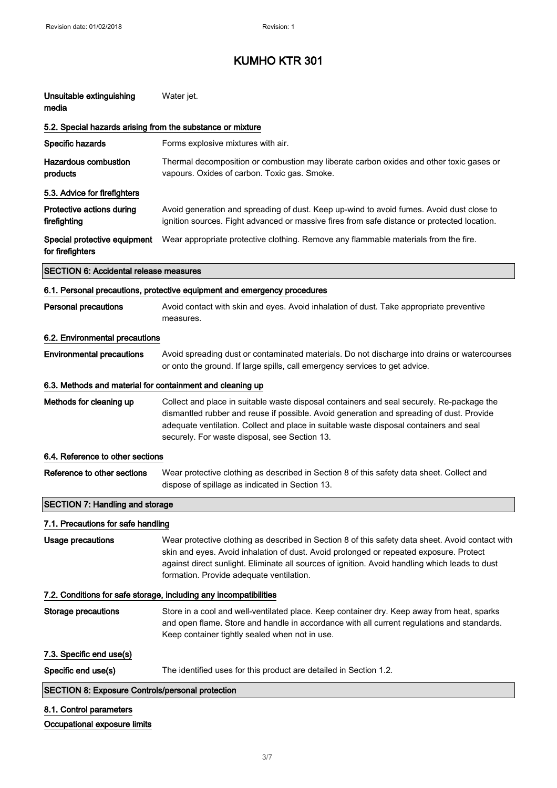| Unsuitable extinguishing<br>media                          | Water jet.                                                                                                                                                                                                                                                                                                                               |
|------------------------------------------------------------|------------------------------------------------------------------------------------------------------------------------------------------------------------------------------------------------------------------------------------------------------------------------------------------------------------------------------------------|
| 5.2. Special hazards arising from the substance or mixture |                                                                                                                                                                                                                                                                                                                                          |
| Specific hazards                                           | Forms explosive mixtures with air.                                                                                                                                                                                                                                                                                                       |
| <b>Hazardous combustion</b><br>products                    | Thermal decomposition or combustion may liberate carbon oxides and other toxic gases or<br>vapours. Oxides of carbon. Toxic gas. Smoke.                                                                                                                                                                                                  |
| 5.3. Advice for firefighters                               |                                                                                                                                                                                                                                                                                                                                          |
| Protective actions during<br>firefighting                  | Avoid generation and spreading of dust. Keep up-wind to avoid fumes. Avoid dust close to<br>ignition sources. Fight advanced or massive fires from safe distance or protected location.                                                                                                                                                  |
| Special protective equipment<br>for firefighters           | Wear appropriate protective clothing. Remove any flammable materials from the fire.                                                                                                                                                                                                                                                      |
| <b>SECTION 6: Accidental release measures</b>              |                                                                                                                                                                                                                                                                                                                                          |
|                                                            | 6.1. Personal precautions, protective equipment and emergency procedures                                                                                                                                                                                                                                                                 |
| <b>Personal precautions</b>                                | Avoid contact with skin and eyes. Avoid inhalation of dust. Take appropriate preventive<br>measures.                                                                                                                                                                                                                                     |
| 6.2. Environmental precautions                             |                                                                                                                                                                                                                                                                                                                                          |
| <b>Environmental precautions</b>                           | Avoid spreading dust or contaminated materials. Do not discharge into drains or watercourses<br>or onto the ground. If large spills, call emergency services to get advice.                                                                                                                                                              |
| 6.3. Methods and material for containment and cleaning up  |                                                                                                                                                                                                                                                                                                                                          |
| Methods for cleaning up                                    | Collect and place in suitable waste disposal containers and seal securely. Re-package the<br>dismantled rubber and reuse if possible. Avoid generation and spreading of dust. Provide<br>adequate ventilation. Collect and place in suitable waste disposal containers and seal<br>securely. For waste disposal, see Section 13.         |
| 6.4. Reference to other sections                           |                                                                                                                                                                                                                                                                                                                                          |
| Reference to other sections                                | Wear protective clothing as described in Section 8 of this safety data sheet. Collect and<br>dispose of spillage as indicated in Section 13.                                                                                                                                                                                             |
| <b>SECTION 7: Handling and storage</b>                     |                                                                                                                                                                                                                                                                                                                                          |
| 7.1. Precautions for safe handling                         |                                                                                                                                                                                                                                                                                                                                          |
| <b>Usage precautions</b>                                   | Wear protective clothing as described in Section 8 of this safety data sheet. Avoid contact with<br>skin and eyes. Avoid inhalation of dust. Avoid prolonged or repeated exposure. Protect<br>against direct sunlight. Eliminate all sources of ignition. Avoid handling which leads to dust<br>formation. Provide adequate ventilation. |
|                                                            | 7.2. Conditions for safe storage, including any incompatibilities                                                                                                                                                                                                                                                                        |
| <b>Storage precautions</b>                                 | Store in a cool and well-ventilated place. Keep container dry. Keep away from heat, sparks<br>and open flame. Store and handle in accordance with all current regulations and standards.<br>Keep container tightly sealed when not in use.                                                                                               |
| 7.3. Specific end use(s)                                   |                                                                                                                                                                                                                                                                                                                                          |
| Specific end use(s)                                        | The identified uses for this product are detailed in Section 1.2.                                                                                                                                                                                                                                                                        |
| <b>SECTION 8: Exposure Controls/personal protection</b>    |                                                                                                                                                                                                                                                                                                                                          |
| 8.1. Control parameters                                    |                                                                                                                                                                                                                                                                                                                                          |
| Occupational exposure limits                               |                                                                                                                                                                                                                                                                                                                                          |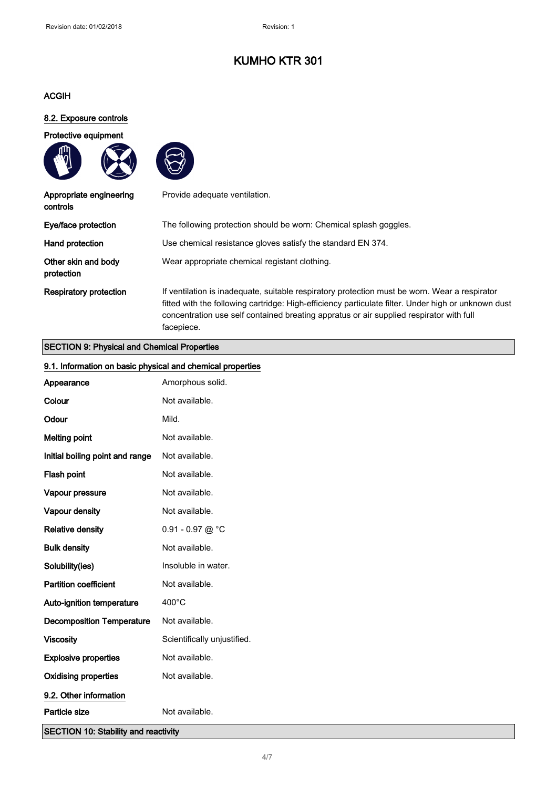### ACGIH

ጠ

### 8.2. Exposure controls

Protective equipment





| Appropriate engineering<br>controls | Provide adequate ventilation.                                                                                                                                                                                                                                                                                 |
|-------------------------------------|---------------------------------------------------------------------------------------------------------------------------------------------------------------------------------------------------------------------------------------------------------------------------------------------------------------|
| Eye/face protection                 | The following protection should be worn: Chemical splash goggles.                                                                                                                                                                                                                                             |
| Hand protection                     | Use chemical resistance gloves satisfy the standard EN 374.                                                                                                                                                                                                                                                   |
| Other skin and body<br>protection   | Wear appropriate chemical registant clothing.                                                                                                                                                                                                                                                                 |
| <b>Respiratory protection</b>       | If ventilation is inadequate, suitable respiratory protection must be worn. Wear a respirator<br>fitted with the following cartridge: High-efficiency particulate filter. Under high or unknown dust<br>concentration use self contained breating appratus or air supplied respirator with full<br>facepiece. |

### SECTION 9: Physical and Chemical Properties

| 9.1. Information on basic physical and chemical properties |                             |
|------------------------------------------------------------|-----------------------------|
| Appearance                                                 | Amorphous solid.            |
| Colour                                                     | Not available.              |
| Odour                                                      | Mild.                       |
| <b>Melting point</b>                                       | Not available.              |
| Initial boiling point and range                            | Not available.              |
| Flash point                                                | Not available.              |
| Vapour pressure                                            | Not available.              |
| Vapour density                                             | Not available.              |
| <b>Relative density</b>                                    | 0.91 - 0.97 @ $^{\circ}$ C  |
| <b>Bulk density</b>                                        | Not available.              |
| Solubility(ies)                                            | Insoluble in water.         |
| <b>Partition coefficient</b>                               | Not available.              |
| Auto-ignition temperature                                  | 400°C                       |
| <b>Decomposition Temperature</b>                           | Not available.              |
| <b>Viscosity</b>                                           | Scientifically unjustified. |
| <b>Explosive properties</b>                                | Not available.              |
| <b>Oxidising properties</b>                                | Not available.              |
| 9.2. Other information                                     |                             |
| Particle size                                              | Not available.              |
| <b>SECTION 10: Stability and reactivity</b>                |                             |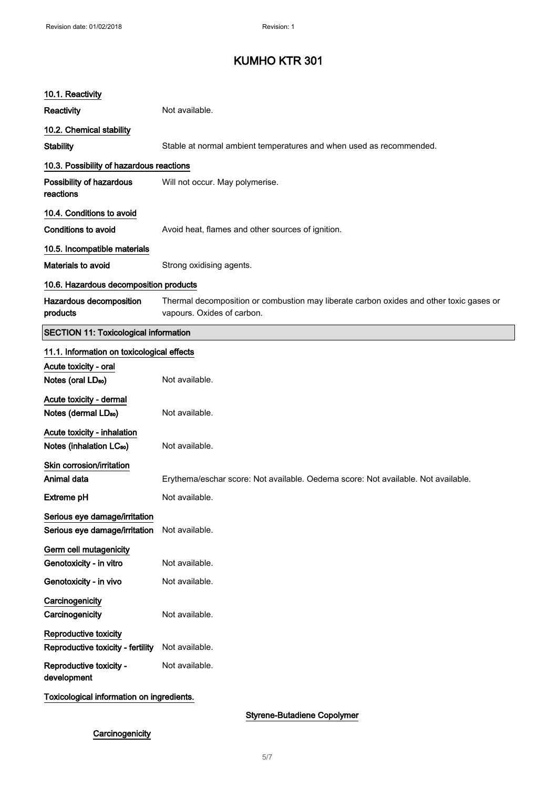| 10.1. Reactivity                                                    |                                                                                                                       |
|---------------------------------------------------------------------|-----------------------------------------------------------------------------------------------------------------------|
| <b>Reactivity</b>                                                   | Not available.                                                                                                        |
| 10.2. Chemical stability                                            |                                                                                                                       |
| <b>Stability</b>                                                    | Stable at normal ambient temperatures and when used as recommended.                                                   |
| 10.3. Possibility of hazardous reactions                            |                                                                                                                       |
| Possibility of hazardous<br>reactions                               | Will not occur. May polymerise.                                                                                       |
| 10.4. Conditions to avoid                                           |                                                                                                                       |
| <b>Conditions to avoid</b>                                          | Avoid heat, flames and other sources of ignition.                                                                     |
| 10.5. Incompatible materials                                        |                                                                                                                       |
| <b>Materials to avoid</b>                                           | Strong oxidising agents.                                                                                              |
| 10.6. Hazardous decomposition products                              |                                                                                                                       |
| Hazardous decomposition<br>products                                 | Thermal decomposition or combustion may liberate carbon oxides and other toxic gases or<br>vapours. Oxides of carbon. |
| <b>SECTION 11: Toxicological information</b>                        |                                                                                                                       |
| 11.1. Information on toxicological effects                          |                                                                                                                       |
| Acute toxicity - oral                                               |                                                                                                                       |
| Notes (oral LD <sub>50</sub> )                                      | Not available.                                                                                                        |
| Acute toxicity - dermal<br>Notes (dermal LD <sub>50</sub> )         | Not available.                                                                                                        |
| Acute toxicity - inhalation<br>Notes (inhalation LC <sub>50</sub> ) | Not available.                                                                                                        |
| Skin corrosion/irritation                                           |                                                                                                                       |
| Animal data                                                         | Erythema/eschar score: Not available. Oedema score: Not available. Not available.                                     |
| Extreme pH                                                          | Not available.                                                                                                        |
| Serious eye damage/irritation<br>Serious eye damage/irritation      | Not available.                                                                                                        |
| Germ cell mutagenicity<br>Genotoxicity - in vitro                   | Not available.                                                                                                        |
| Genotoxicity - in vivo                                              | Not available.                                                                                                        |
| Carcinogenicity<br>Carcinogenicity                                  | Not available.                                                                                                        |
| Reproductive toxicity<br>Reproductive toxicity - fertility          | Not available.                                                                                                        |
| Reproductive toxicity -<br>development                              | Not available.                                                                                                        |
| Toxicological information on ingredients.                           |                                                                                                                       |

### Styrene-Butadiene Copolymer

## **Carcinogenicity**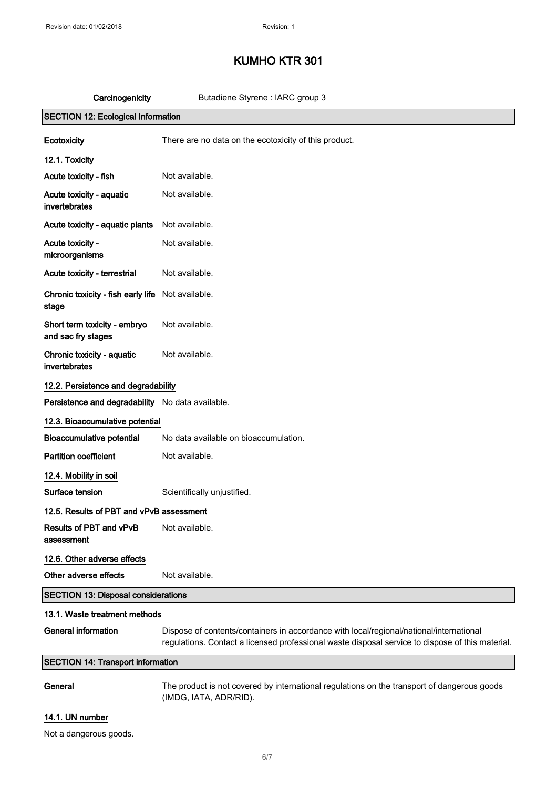| Carcinogenicity                                    | Butadiene Styrene : IARC group 3                                                                                                                                                            |
|----------------------------------------------------|---------------------------------------------------------------------------------------------------------------------------------------------------------------------------------------------|
| <b>SECTION 12: Ecological Information</b>          |                                                                                                                                                                                             |
| Ecotoxicity                                        | There are no data on the ecotoxicity of this product.                                                                                                                                       |
| 12.1. Toxicity                                     |                                                                                                                                                                                             |
| Acute toxicity - fish                              | Not available.                                                                                                                                                                              |
| Acute toxicity - aquatic<br>invertebrates          | Not available.                                                                                                                                                                              |
| Acute toxicity - aquatic plants                    | Not available.                                                                                                                                                                              |
| Acute toxicity -<br>microorganisms                 | Not available.                                                                                                                                                                              |
| Acute toxicity - terrestrial                       | Not available.                                                                                                                                                                              |
| Chronic toxicity - fish early life<br>stage        | Not available.                                                                                                                                                                              |
| Short term toxicity - embryo<br>and sac fry stages | Not available.                                                                                                                                                                              |
| Chronic toxicity - aquatic<br>invertebrates        | Not available.                                                                                                                                                                              |
| 12.2. Persistence and degradability                |                                                                                                                                                                                             |
| Persistence and degradability No data available.   |                                                                                                                                                                                             |
| 12.3. Bioaccumulative potential                    |                                                                                                                                                                                             |
| <b>Bioaccumulative potential</b>                   | No data available on bioaccumulation.                                                                                                                                                       |
| <b>Partition coefficient</b>                       | Not available.                                                                                                                                                                              |
| 12.4. Mobility in soil                             |                                                                                                                                                                                             |
| Surface tension                                    | Scientifically unjustified.                                                                                                                                                                 |
| 12.5. Results of PBT and vPvB assessment           |                                                                                                                                                                                             |
| Results of PBT and vPvB<br>assessment              | Not available.                                                                                                                                                                              |
| 12.6. Other adverse effects                        |                                                                                                                                                                                             |
| Other adverse effects                              | Not available.                                                                                                                                                                              |
| <b>SECTION 13: Disposal considerations</b>         |                                                                                                                                                                                             |
| 13.1. Waste treatment methods                      |                                                                                                                                                                                             |
| <b>General information</b>                         | Dispose of contents/containers in accordance with local/regional/national/international<br>regulations. Contact a licensed professional waste disposal service to dispose of this material. |
| <b>SECTION 14: Transport information</b>           |                                                                                                                                                                                             |
| General                                            | The product is not covered by international regulations on the transport of dangerous goods<br>(IMDG, IATA, ADR/RID).                                                                       |
| 14.1. UN number                                    |                                                                                                                                                                                             |

Not a dangerous goods.